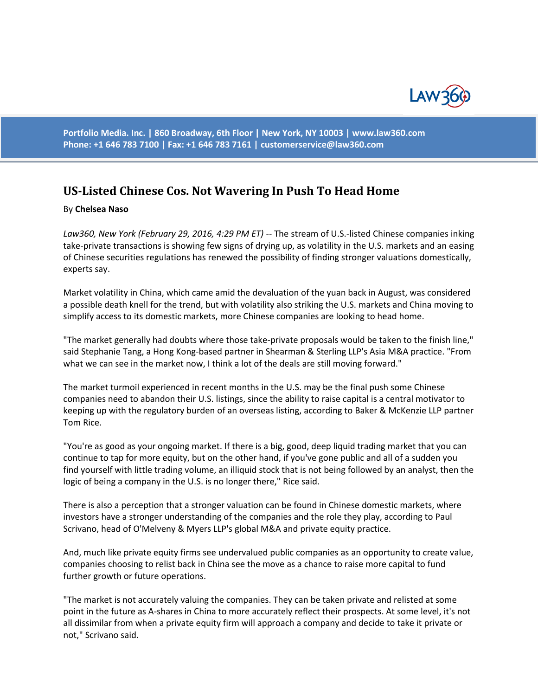

**Portfolio Media. Inc. | 860 Broadway, 6th Floor | New York, NY 10003 | www.law360.com Phone: +1 646 783 7100 | Fax: +1 646 783 7161 | [customerservice@law360.com](mailto:customerservice@law360.com)**

## **US-Listed Chinese Cos. Not Wavering In Push To Head Home**

## By **Chelsea Naso**

*Law360, New York (February 29, 2016, 4:29 PM ET)* -- The stream of U.S.-listed Chinese companies inking take-private transactions is showing few signs of drying up, as volatility in the U.S. markets and an easing of Chinese securities regulations has renewed the possibility of finding stronger valuations domestically, experts say.

Market volatility in China, which came amid the devaluation of the yuan back in August, was considered a possible death knell for the trend, but with volatility also striking the U.S. markets and China moving to simplify access to its domestic markets, more Chinese companies are looking to head home.

"The market generally had doubts where those take-private proposals would be taken to the finish line," said Stephanie Tang, a Hong Kong-based partner in Shearman & Sterling LLP's Asia M&A practice. "From what we can see in the market now, I think a lot of the deals are still moving forward."

The market turmoil experienced in recent months in the U.S. may be the final push some Chinese companies need to abandon their U.S. listings, since the ability to raise capital is a central motivator to keeping up with the regulatory burden of an overseas listing, according to Baker & McKenzie LLP partner Tom Rice.

"You're as good as your ongoing market. If there is a big, good, deep liquid trading market that you can continue to tap for more equity, but on the other hand, if you've gone public and all of a sudden you find yourself with little trading volume, an illiquid stock that is not being followed by an analyst, then the logic of being a company in the U.S. is no longer there," Rice said.

There is also a perception that a stronger valuation can be found in Chinese domestic markets, where investors have a stronger understanding of the companies and the role they play, according to Paul Scrivano, head of O'Melveny & Myers LLP's global M&A and private equity practice.

And, much like private equity firms see undervalued public companies as an opportunity to create value, companies choosing to relist back in China see the move as a chance to raise more capital to fund further growth or future operations.

"The market is not accurately valuing the companies. They can be taken private and relisted at some point in the future as A-shares in China to more accurately reflect their prospects. At some level, it's not all dissimilar from when a private equity firm will approach a company and decide to take it private or not," Scrivano said.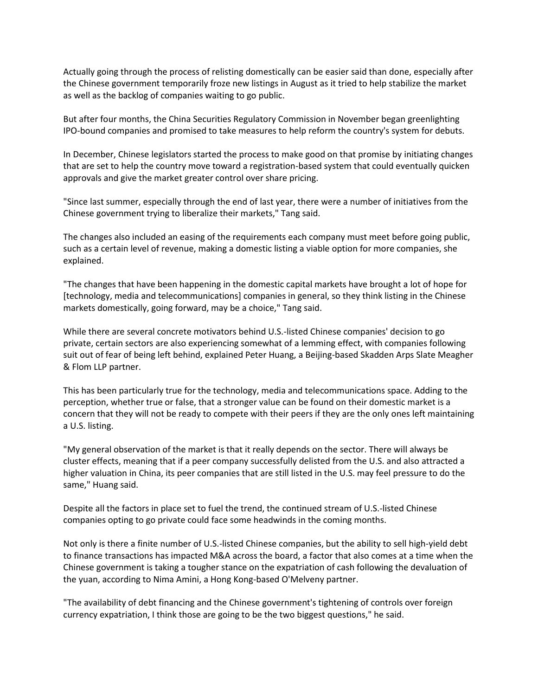Actually going through the process of relisting domestically can be easier said than done, especially after the Chinese government temporarily froze new listings in August as it tried to help stabilize the market as well as the backlog of companies waiting to go public.

But after four months, the China Securities Regulatory Commission in November began greenlighting IPO-bound companies and promised to take measures to help reform the country's system for debuts.

In December, Chinese legislators started the process to make good on that promise by initiating changes that are set to help the country move toward a registration-based system that could eventually quicken approvals and give the market greater control over share pricing.

"Since last summer, especially through the end of last year, there were a number of initiatives from the Chinese government trying to liberalize their markets," Tang said.

The changes also included an easing of the requirements each company must meet before going public, such as a certain level of revenue, making a domestic listing a viable option for more companies, she explained.

"The changes that have been happening in the domestic capital markets have brought a lot of hope for [technology, media and telecommunications] companies in general, so they think listing in the Chinese markets domestically, going forward, may be a choice," Tang said.

While there are several concrete motivators behind U.S.-listed Chinese companies' decision to go private, certain sectors are also experiencing somewhat of a lemming effect, with companies following suit out of fear of being left behind, explained Peter Huang, a Beijing-based Skadden Arps Slate Meagher & Flom LLP partner.

This has been particularly true for the technology, media and telecommunications space. Adding to the perception, whether true or false, that a stronger value can be found on their domestic market is a concern that they will not be ready to compete with their peers if they are the only ones left maintaining a U.S. listing.

"My general observation of the market is that it really depends on the sector. There will always be cluster effects, meaning that if a peer company successfully delisted from the U.S. and also attracted a higher valuation in China, its peer companies that are still listed in the U.S. may feel pressure to do the same," Huang said.

Despite all the factors in place set to fuel the trend, the continued stream of U.S.-listed Chinese companies opting to go private could face some headwinds in the coming months.

Not only is there a finite number of U.S.-listed Chinese companies, but the ability to sell high-yield debt to finance transactions has impacted M&A across the board, a factor that also comes at a time when the Chinese government is taking a tougher stance on the expatriation of cash following the devaluation of the yuan, according to Nima Amini, a Hong Kong-based O'Melveny partner.

"The availability of debt financing and the Chinese government's tightening of controls over foreign currency expatriation, I think those are going to be the two biggest questions," he said.